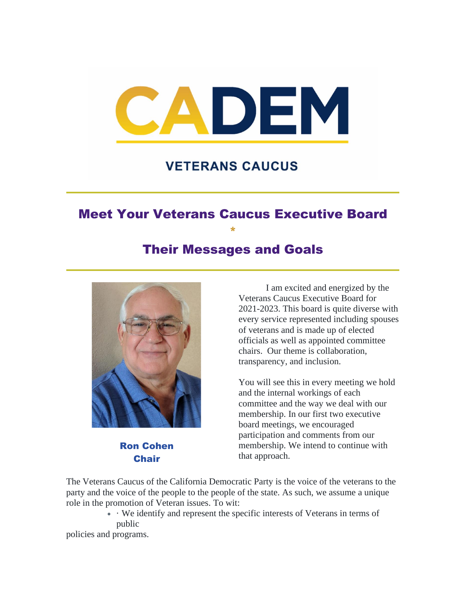

## **VETERANS CAUCUS**

## Meet Your Veterans Caucus Executive Board \*

### Their Messages and Goals



Ron Cohen Chair

I am excited and energized by the Veterans Caucus Executive Board for 2021-2023. This board is quite diverse with every service represented including spouses of veterans and is made up of elected officials as well as appointed committee chairs. Our theme is collaboration, transparency, and inclusion.

You will see this in every meeting we hold and the internal workings of each committee and the way we deal with our membership. In our first two executive board meetings, we encouraged participation and comments from our membership. We intend to continue with that approach.

The Veterans Caucus of the California Democratic Party is the voice of the veterans to the party and the voice of the people to the people of the state. As such, we assume a unique role in the promotion of Veteran issues. To wit:

> • · We identify and represent the specific interests of Veterans in terms of public

policies and programs.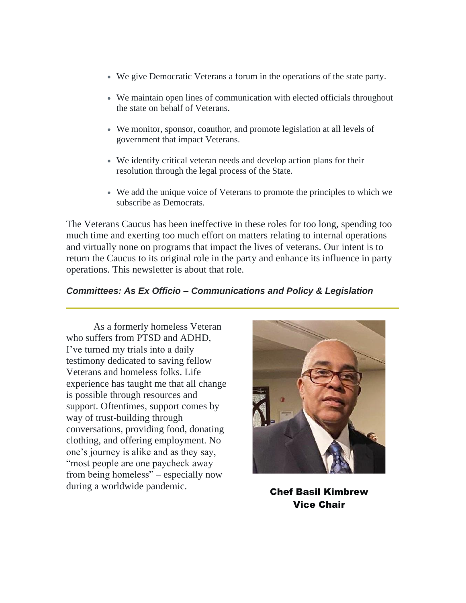- We give Democratic Veterans a forum in the operations of the state party.
- We maintain open lines of communication with elected officials throughout the state on behalf of Veterans.
- We monitor, sponsor, coauthor, and promote legislation at all levels of government that impact Veterans.
- We identify critical veteran needs and develop action plans for their resolution through the legal process of the State.
- We add the unique voice of Veterans to promote the principles to which we subscribe as Democrats.

The Veterans Caucus has been ineffective in these roles for too long, spending too much time and exerting too much effort on matters relating to internal operations and virtually none on programs that impact the lives of veterans. Our intent is to return the Caucus to its original role in the party and enhance its influence in party operations. This newsletter is about that role.

#### *Committees: As Ex Officio – Communications and Policy & Legislation*

As a formerly homeless Veteran who suffers from PTSD and ADHD, I've turned my trials into a daily testimony dedicated to saving fellow Veterans and homeless folks. Life experience has taught me that all change is possible through resources and support. Oftentimes, support comes by way of trust-building through conversations, providing food, donating clothing, and offering employment. No one's journey is alike and as they say, "most people are one paycheck away from being homeless" – especially now during a worldwide pandemic.<br> **Chef Basil Kimbrew** 



Vice Chair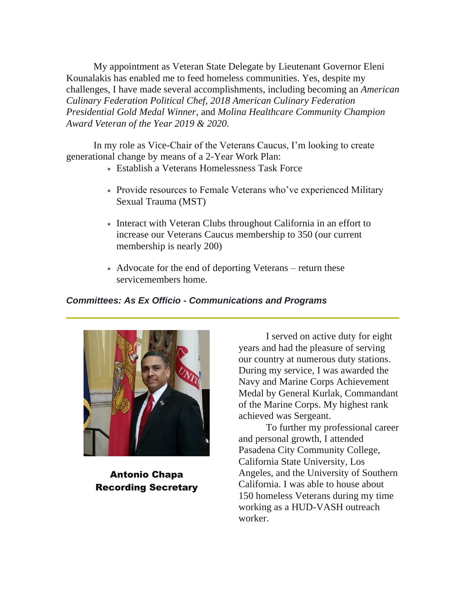My appointment as Veteran State Delegate by Lieutenant Governor Eleni Kounalakis has enabled me to feed homeless communities. Yes, despite my challenges, I have made several accomplishments, including becoming an *American Culinary Federation Political Chef, 2018 American Culinary Federation Presidential Gold Medal Winner*, and *Molina Healthcare Community Champion Award Veteran of the Year 2019 & 2020*.

In my role as Vice-Chair of the Veterans Caucus, I'm looking to create generational change by means of a 2-Year Work Plan:

- Establish a Veterans Homelessness Task Force
- Provide resources to Female Veterans who've experienced Military Sexual Trauma (MST)
- Interact with Veteran Clubs throughout California in an effort to increase our Veterans Caucus membership to 350 (our current membership is nearly 200)
- Advocate for the end of deporting Veterans return these servicemembers home.

#### *Committees: As Ex Officio - Communications and Programs*



Antonio Chapa Recording Secretary

I served on active duty for eight years and had the pleasure of serving our country at numerous duty stations. During my service, I was awarded the Navy and Marine Corps Achievement Medal by General Kurlak, Commandant of the Marine Corps. My highest rank achieved was Sergeant.

To further my professional career and personal growth, I attended Pasadena City Community College, California State University, Los Angeles, and the University of Southern California. I was able to house about 150 homeless Veterans during my time working as a HUD-VASH outreach worker.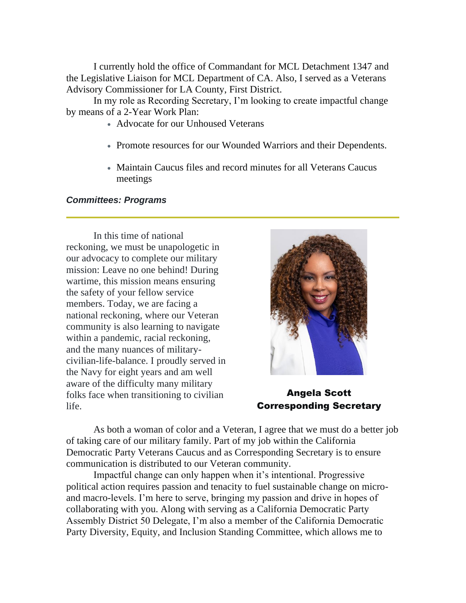I currently hold the office of Commandant for MCL Detachment 1347 and the Legislative Liaison for MCL Department of CA. Also, I served as a Veterans Advisory Commissioner for LA County, First District.

In my role as Recording Secretary, I'm looking to create impactful change by means of a 2-Year Work Plan:

- Advocate for our Unhoused Veterans
- Promote resources for our Wounded Warriors and their Dependents.
- Maintain Caucus files and record minutes for all Veterans Caucus meetings

#### *Committees: Programs*

In this time of national reckoning, we must be unapologetic in our advocacy to complete our military mission: Leave no one behind! During wartime, this mission means ensuring the safety of your fellow service members. Today, we are facing a national reckoning, where our Veteran community is also learning to navigate within a pandemic, racial reckoning, and the many nuances of militarycivilian-life-balance. I proudly served in the Navy for eight years and am well aware of the difficulty many military folks face when transitioning to civilian life.



Angela Scott Corresponding Secretary

As both a woman of color and a Veteran, I agree that we must do a better job of taking care of our military family. Part of my job within the California Democratic Party Veterans Caucus and as Corresponding Secretary is to ensure communication is distributed to our Veteran community.

Impactful change can only happen when it's intentional. Progressive political action requires passion and tenacity to fuel sustainable change on microand macro-levels. I'm here to serve, bringing my passion and drive in hopes of collaborating with you. Along with serving as a California Democratic Party Assembly District 50 Delegate, I'm also a member of the California Democratic Party Diversity, Equity, and Inclusion Standing Committee, which allows me to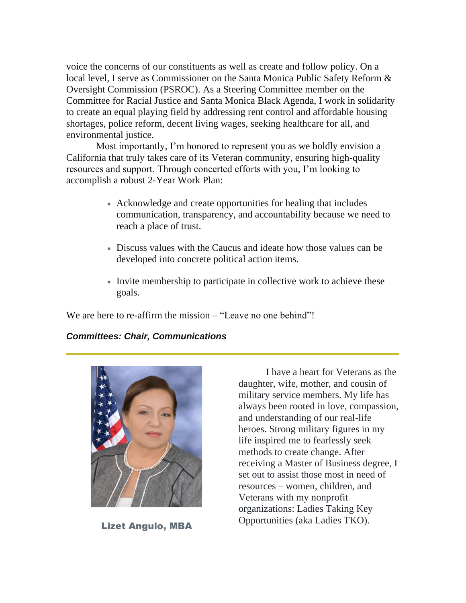voice the concerns of our constituents as well as create and follow policy. On a local level, I serve as Commissioner on the Santa Monica Public Safety Reform & Oversight Commission (PSROC). As a Steering Committee member on the Committee for Racial Justice and Santa Monica Black Agenda, I work in solidarity to create an equal playing field by addressing rent control and affordable housing shortages, police reform, decent living wages, seeking healthcare for all, and environmental justice.

Most importantly, I'm honored to represent you as we boldly envision a California that truly takes care of its Veteran community, ensuring high-quality resources and support. Through concerted efforts with you, I'm looking to accomplish a robust 2-Year Work Plan:

- Acknowledge and create opportunities for healing that includes communication, transparency, and accountability because we need to reach a place of trust.
- Discuss values with the Caucus and ideate how those values can be developed into concrete political action items.
- Invite membership to participate in collective work to achieve these goals.

We are here to re-affirm the mission – "Leave no one behind"!

#### *Committees: Chair, Communications*



Lizet Angulo, MBA

I have a heart for Veterans as the daughter, wife, mother, and cousin of military service members. My life has always been rooted in love, compassion, and understanding of our real-life heroes. Strong military figures in my life inspired me to fearlessly seek methods to create change. After receiving a Master of Business degree, I set out to assist those most in need of resources – women, children, and Veterans with my nonprofit organizations: Ladies Taking Key Opportunities (aka Ladies TKO).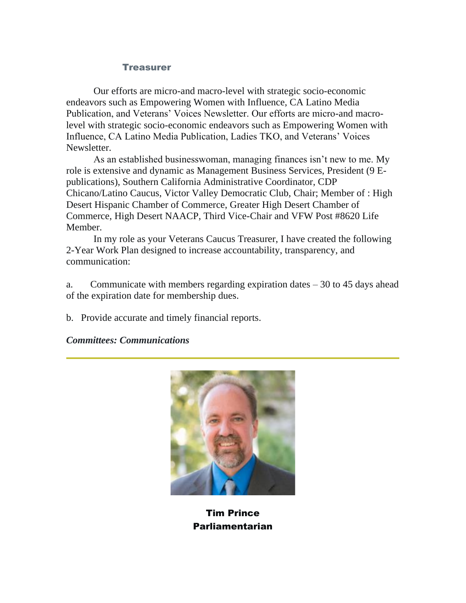#### **Treasurer**

Our efforts are micro-and macro-level with strategic socio-economic endeavors such as Empowering Women with Influence, CA Latino Media Publication, and Veterans' Voices Newsletter. Our efforts are micro-and macrolevel with strategic socio-economic endeavors such as Empowering Women with Influence, CA Latino Media Publication, Ladies TKO, and Veterans' Voices Newsletter.

As an established businesswoman, managing finances isn't new to me. My role is extensive and dynamic as Management Business Services, President (9 Epublications), Southern California Administrative Coordinator, CDP Chicano/Latino Caucus, Victor Valley Democratic Club, Chair; Member of : High Desert Hispanic Chamber of Commerce, Greater High Desert Chamber of Commerce, High Desert NAACP, Third Vice-Chair and VFW Post #8620 Life Member.

In my role as your Veterans Caucus Treasurer, I have created the following 2-Year Work Plan designed to increase accountability, transparency, and communication:

a. Communicate with members regarding expiration dates – 30 to 45 days ahead of the expiration date for membership dues.

b. Provide accurate and timely financial reports.

#### *Committees: Communications*



Tim Prince Parliamentarian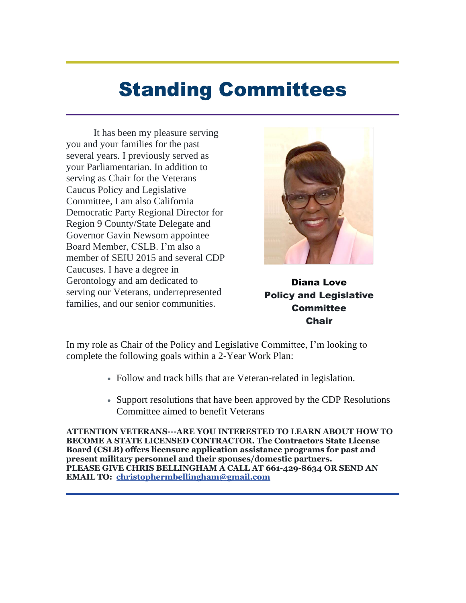# Standing Committees

It has been my pleasure serving you and your families for the past several years. I previously served as your Parliamentarian. In addition to serving as Chair for the Veterans Caucus Policy and Legislative Committee, I am also California Democratic Party Regional Director for Region 9 County/State Delegate and Governor Gavin Newsom appointee Board Member, CSLB. I'm also a member of SEIU 2015 and several CDP Caucuses. I have a degree in Gerontology and am dedicated to serving our Veterans, underrepresented families, and our senior communities.



Diana Love Policy and Legislative **Committee Chair** 

In my role as Chair of the Policy and Legislative Committee, I'm looking to complete the following goals within a 2-Year Work Plan:

- Follow and track bills that are Veteran-related in legislation.
- Support resolutions that have been approved by the CDP Resolutions Committee aimed to benefit Veterans

**ATTENTION VETERANS---ARE YOU INTERESTED TO LEARN ABOUT HOW TO BECOME A STATE LICENSED CONTRACTOR. The Contractors State License Board (CSLB) offers licensure application assistance programs for past and present military personnel and their spouses/domestic partners. PLEASE GIVE CHRIS BELLINGHAM A CALL AT 661-429-8634 OR SEND AN EMAIL TO: [christophermbellingham@gmail.com](mailto:christophermbellingham@gmail.com)**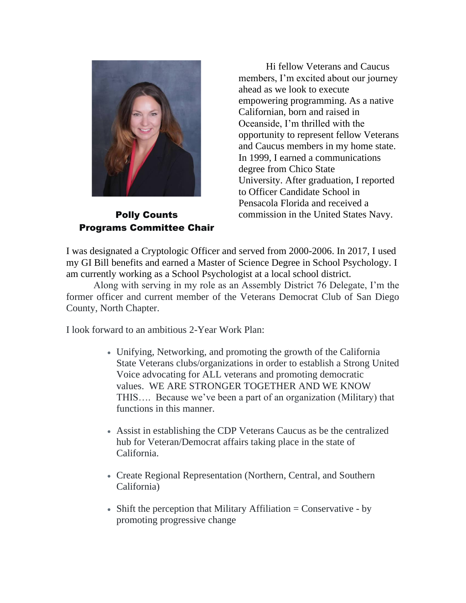

Polly Counts Programs Committee Chair

Hi fellow Veterans and Caucus members, I'm excited about our journey ahead as we look to execute empowering programming. As a native Californian, born and raised in Oceanside, I'm thrilled with the opportunity to represent fellow Veterans and Caucus members in my home state. In 1999, I earned a communications degree from Chico State University. After graduation, I reported to Officer Candidate School in Pensacola Florida and received a commission in the United States Navy.

I was designated a Cryptologic Officer and served from 2000-2006. In 2017, I used my GI Bill benefits and earned a Master of Science Degree in School Psychology. I am currently working as a School Psychologist at a local school district.

Along with serving in my role as an Assembly District 76 Delegate, I'm the former officer and current member of the Veterans Democrat Club of San Diego County, North Chapter.

I look forward to an ambitious 2-Year Work Plan:

- Unifying, Networking, and promoting the growth of the California State Veterans clubs/organizations in order to establish a Strong United Voice advocating for ALL veterans and promoting democratic values. WE ARE STRONGER TOGETHER AND WE KNOW THIS…. Because we've been a part of an organization (Military) that functions in this manner.
- Assist in establishing the CDP Veterans Caucus as be the centralized hub for Veteran/Democrat affairs taking place in the state of California.
- Create Regional Representation (Northern, Central, and Southern California)
- Shift the perception that Military Affiliation  $=$  Conservative by promoting progressive change